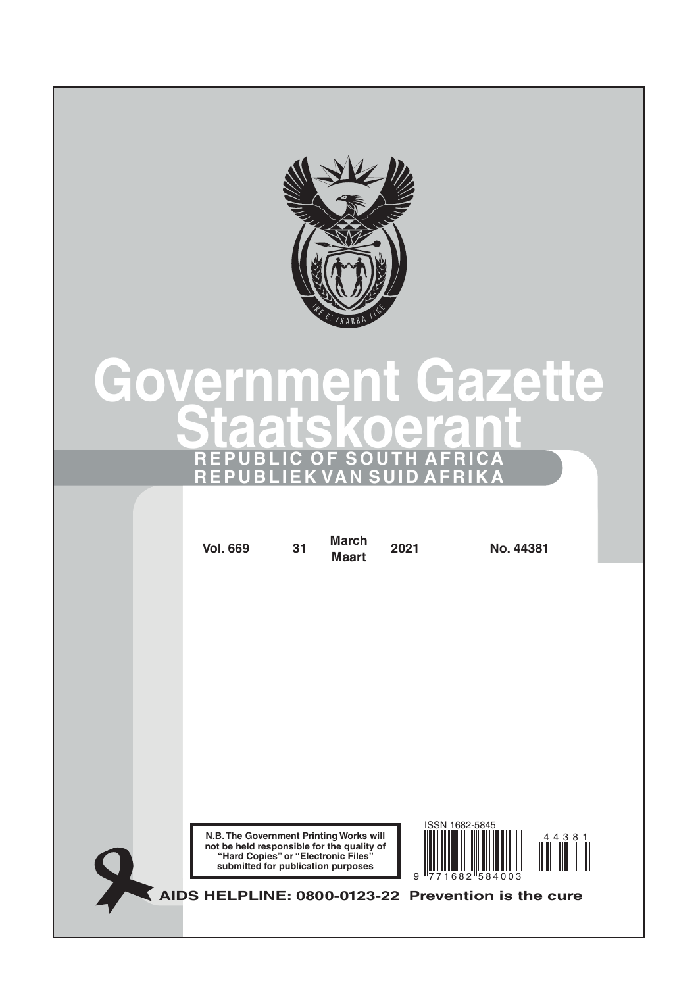

# **Government Gazette Staatskoerant REPUBLIC OF SOUTH AFRICA REPUBLIEK VAN SUID AFRIKA**

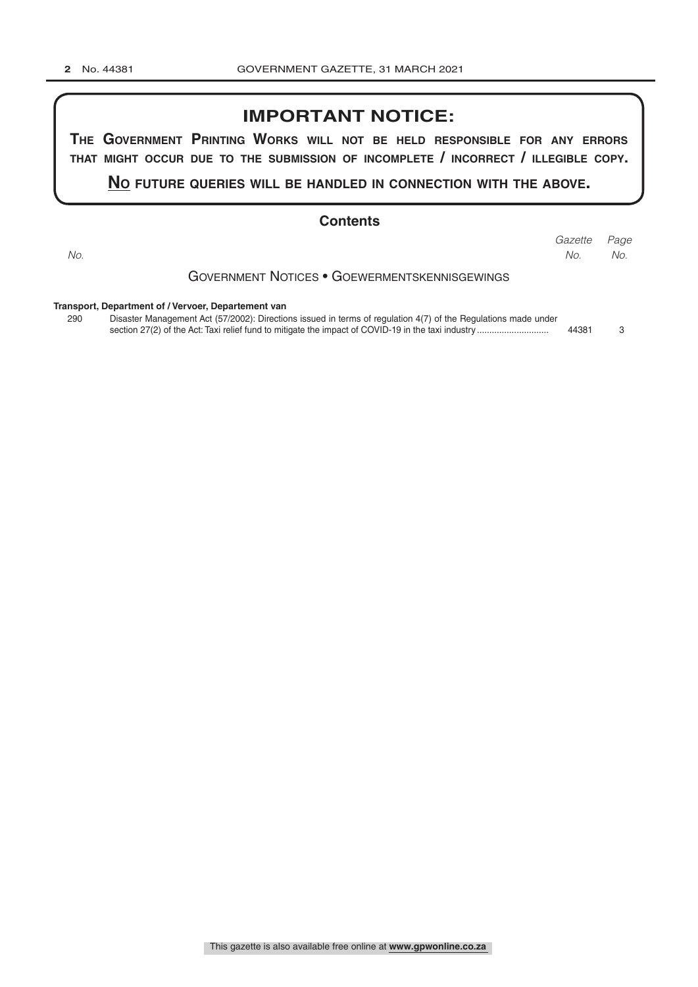#### **IMPORTANT NOTICE:**

**The GovernmenT PrinTinG Works Will noT be held resPonsible for any errors ThaT miGhT occur due To The submission of incomPleTe / incorrecT / illeGible coPy.**

#### **no fuTure queries Will be handled in connecTion WiTh The above.**

#### **Contents**

| a.      |  |
|---------|--|
| ۰,<br>× |  |

*Page Gazette No. No. No.*

#### Government [Notices • Goewermentskennisgewings](#page-2-0)

#### **[Transport, Department of / Vervoer, Departement van](#page-2-0)**

| 290 | Disaster Management Act (57/2002): Directions issued in terms of regulation 4(7) of the Regulations made under |       |  |
|-----|----------------------------------------------------------------------------------------------------------------|-------|--|
|     |                                                                                                                | 44381 |  |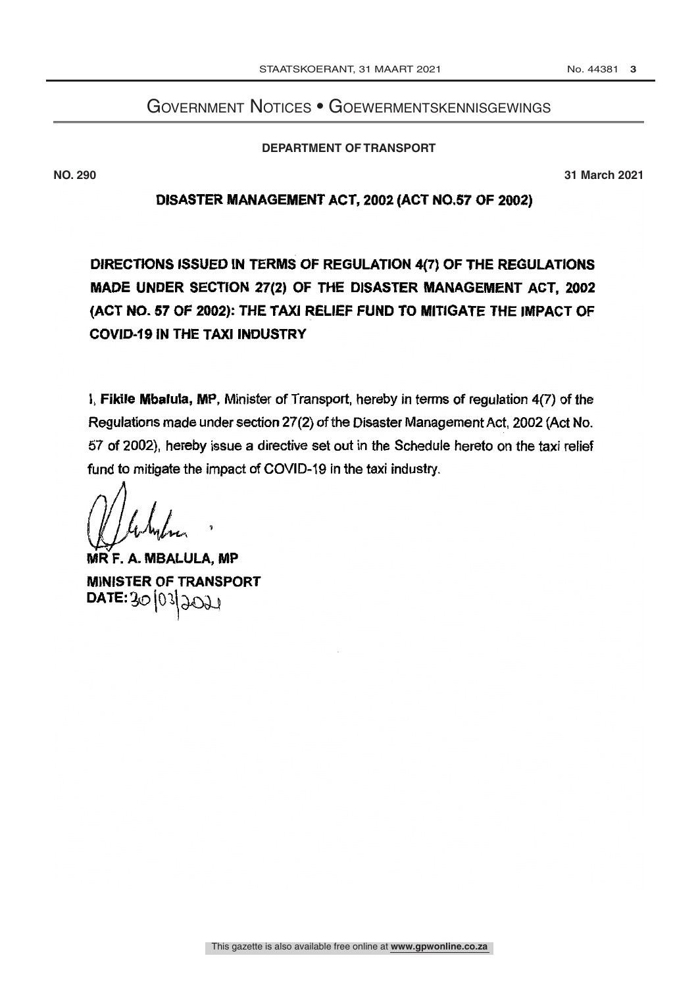# GOVERNMENT NOTICES • GOEWERMENTSKENNISGEWINGS

## <span id="page-2-0"></span>**DEPARTMENT OF TRANSPORT**

**NO. 290 31 March 2021**

#### DISASTER MANAGEMENT ACT, 2002 (ACT NO.57 OF 2002)

DIRECTIONS ISSUED IN TERMS OF REGULATION 4(7) OF THE REGULATIONS MADE UNDER SECTION 27(2) OF THE DISASTER MANAGEMENT ACT, 2002 (ACT NO. 57 OF 2002): THE TAXI RELIEF FUND TO MITIGATE THE IMPACT OF COVID-19 IN THE TAXI INDUSTRY

I, Fikile Mbalula, MP, Minister of Transport, hereby in terms of regulation 4(7) of the Regulations made under section 27(2) of the Disaster Management Act, 2002 (Act No. 67 of 2002), hereby issue a directive set out in the Schedule hereto on the taxi relief fund to mitigate the impact of COVID-19 in the taxi industry.

MR F. A. MBALULA, MP MINISTER OF TRANSPORT  $\text{DATE}: 3 \circ 03$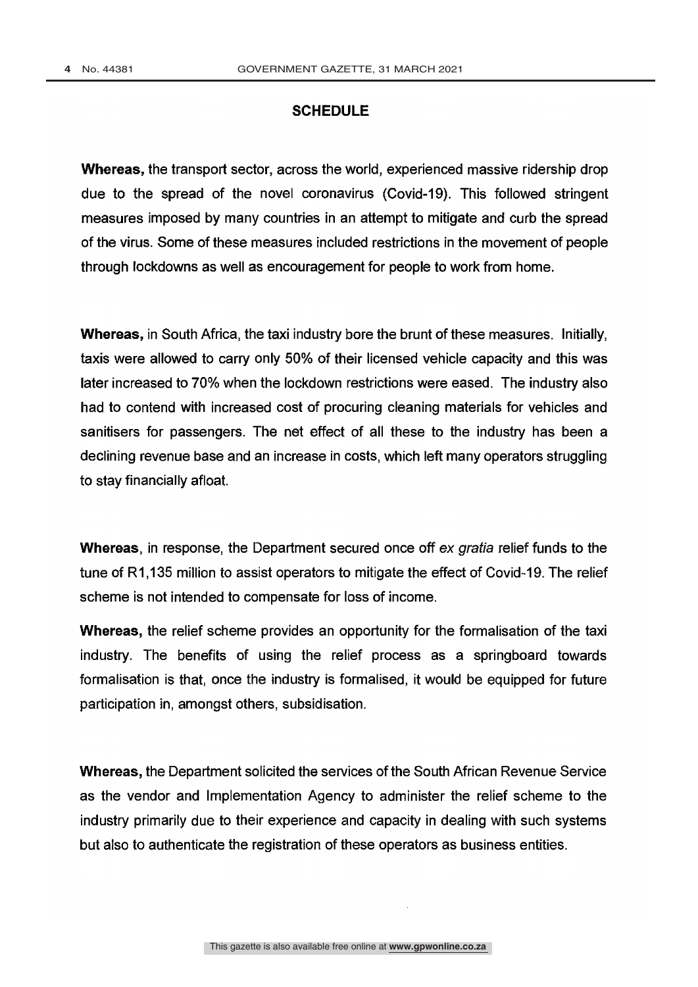#### SCHEDULE

Whereas, the transport sector, across the world, experienced massive ridership drop due to the spread of the novel coronavirus (Covid -19). This followed stringent measures imposed by many countries in an attempt to mitigate and curb the spread of the virus. Some of these measures included restrictions in the movement of people through lockdowns as well as encouragement for people to work from home.

Whereas, in South Africa, the taxi industry bore the brunt of these measures. Initially, taxis were allowed to carry only 50% of their licensed vehicle capacity and this was later increased to 70% when the lockdown restrictions were eased. The industry also had to contend with increased cost of procuring cleaning materials for vehicles and sanitisers for passengers. The net effect of all these to the industry has been a declining revenue base and an increase in costs, which left many operators struggling to stay financially afloat.

Whereas, in response, the Department secured once off ex gratia relief funds to the tune of R1,135 million to assist operators to mitigate the effect of Covid -19. The relief scheme is not intended to compensate for loss of income.

Whereas, the relief scheme provides an opportunity for the formalisation of the taxi industry. The benefits of using the relief process as a springboard towards formalisation is that, once the industry is formalised, it would be equipped for future participation in, amongst others, subsidisation.

Whereas, the Department solicited the services of the South African Revenue Service as the vendor and Implementation Agency to administer the relief scheme to the industry primarily due to their experience and capacity in dealing with such systems but also to authenticate the registration of these operators as business entities.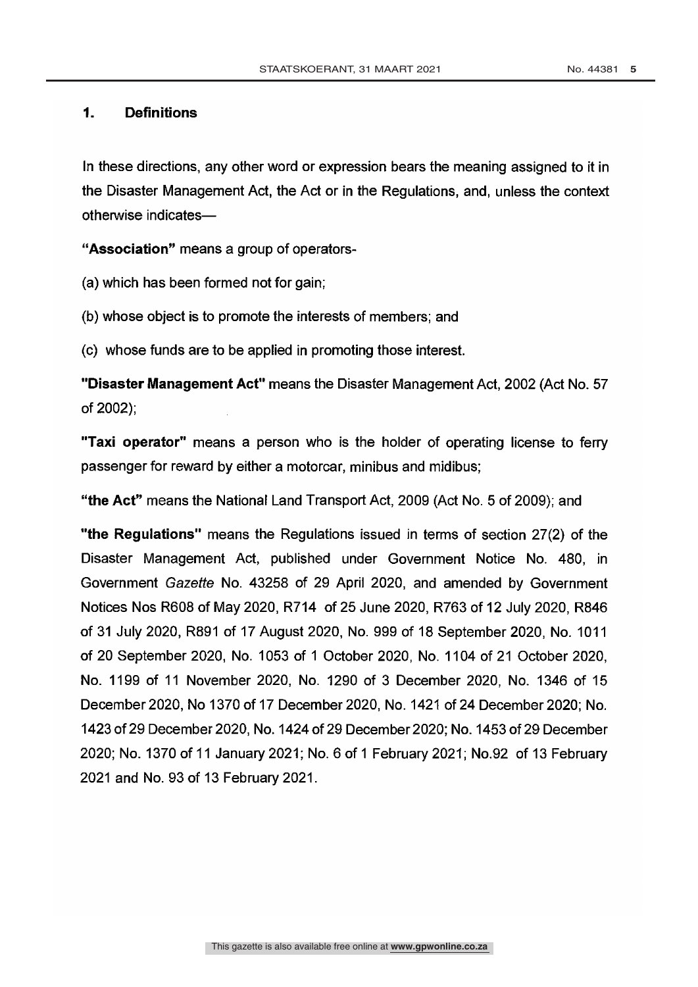#### 1. Definitions

In these directions, any other word or expression bears the meaning assigned to it in the Disaster Management Act, the Act or in the Regulations, and, unless the context otherwise indicates-

"Association" means a group of operators-

(a) which has been formed not for gain;

(b) whose object is to promote the interests of members; and

(c) whose funds are to be applied in promoting those interest.

"Disaster Management Act" means the Disaster Management Act, 2002 (Act No. 57 of 2002);

"Taxi operator" means a person who is the holder of operating license to ferry passenger for reward by either a motorcar, minibus and midibus;

"the Act" means the National Land Transport Act, 2009 (Act No. 5 of 2009); and

"the Regulations" means the Regulations issued in terms of section 27(2) of the Disaster Management Act, published under Government Notice No. 480, in Government Gazette No. 43258 of 29 April 2020, and amended by Government Notices Nos R608 of May 2020, R714 of 25 June 2020, R763 of 12 July 2020, R846 of 31 July 2020, R891 of 17 August 2020, No. 999 of 18 September 2020, No. 1011 of 20 September 2020, No. 1053 of 1 October 2020, No. 1104 of 21 October 2020, No. 1199 of 11 November 2020, No. 1290 of 3 December 2020, No. 1346 of 15 December 2020, No 1370 of 17 December 2020, No. 1421 of 24 December 2020; No. 1423 of 29 December 2020, No. 1424 of 29 December 2020; No. 1453 of 29 December 2020; No. 1370 of 11 January 2021; No. 6 of 1 February 2021; No.92 of 13 February 2021 and No. 93 of 13 February 2021.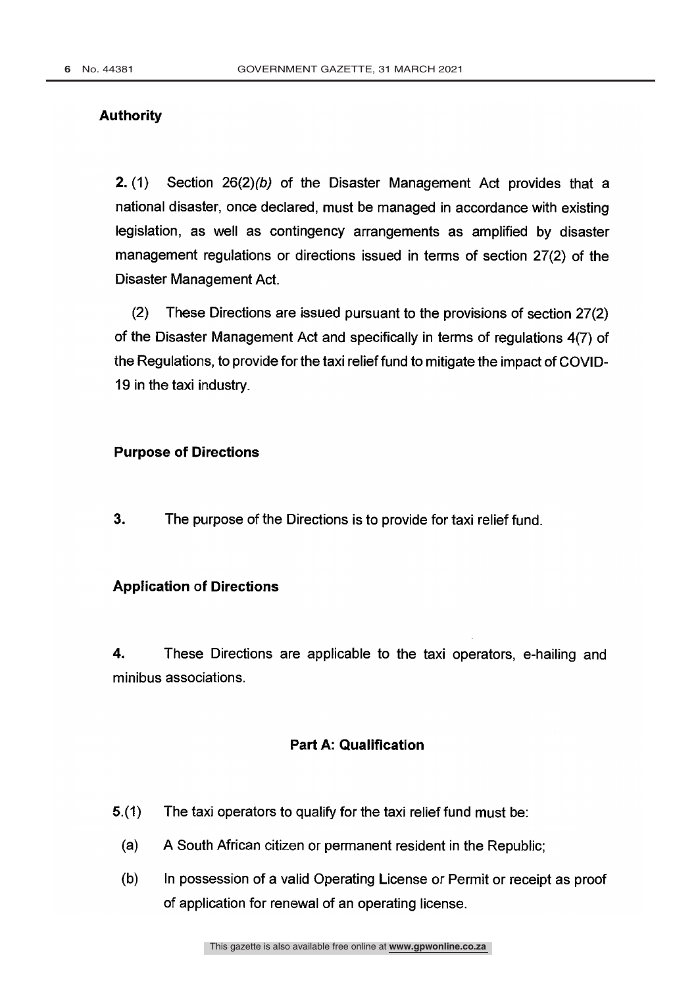#### Authority

**2.** (1) Section  $26(2)(b)$  of the Disaster Management Act provides that a national disaster, once declared, must be managed in accordance with existing legislation, as well as contingency arrangements as amplified by disaster management regulations or directions issued in terms of section 27(2) of the Disaster Management Act.

(2) These Directions are issued pursuant to the provisions of section 27(2) of the Disaster Management Act and specifically in terms of regulations 4(7) of the Regulations, to provide for the taxi relief fund to mitigate the impact of COVID-19 in the taxi industry.

#### Purpose of Directions

3. The purpose of the Directions is to provide for taxi relief fund.

#### Application of Directions

4. These Directions are applicable to the taxi operators, e-hailing and minibus associations.

#### Part A: Qualification

- 5.(1) The taxi operators to qualify for the taxi relief fund must be:
	- (a) A South African citizen or permanent resident in the Republic;
	- (b) In possession of a valid Operating License or Permit or receipt as proof of application for renewal of an operating license.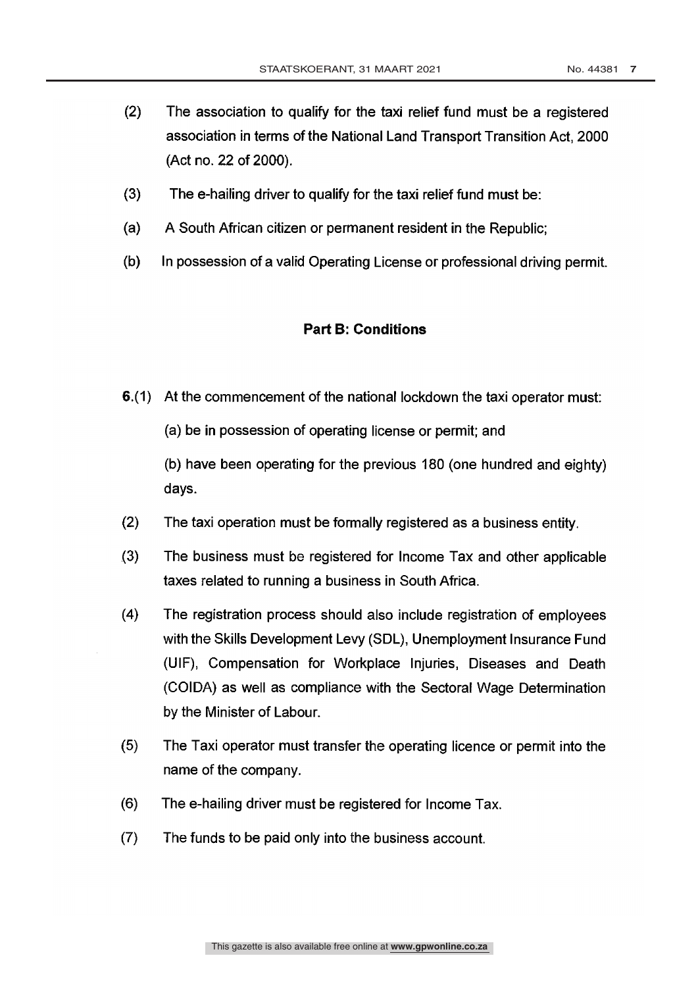- (2) The association to qualify for the taxi relief fund must be a registered association in terms of the National Land Transport Transition Act, 2000 (Act no. 22 of 2000).
- (3) The e- hailing driver to qualify for the taxi relief fund must be:
- (a) A South African citizen or permanent resident in the Republic;
- (b) In possession of a valid Operating License or professional driving permit.

#### Part B: Conditions

6.(1) At the commencement of the national lockdown the taxi operator must:

(a) be in possession of operating license or permit; and

(b) have been operating for the previous 180 (one hundred and eighty) days.

- (2) The taxi operation must be formally registered as a business entity.
- (3) The business must be registered for Income Tax and other applicable taxes related to running a business in South Africa.
- (4) The registration process should also include registration of employees with the Skills Development Levy (SDL), Unemployment Insurance Fund (UIF), Compensation for Workplace Injuries, Diseases and Death (COIDA) as well as compliance with the Sectoral Wage Determination by the Minister of Labour.
- (5) The Taxi operator must transfer the operating licence or permit into the name of the company.
- (6) The e- hailing driver must be registered for Income Tax.
- (7) The funds to be paid only into the business account.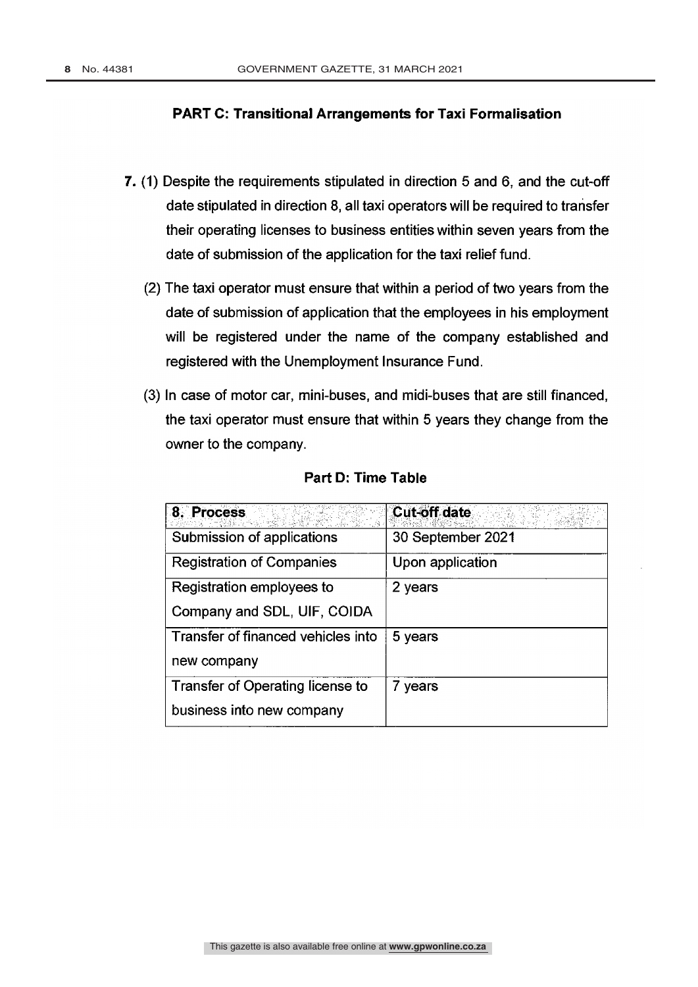#### PART C: Transitional Arrangements for Taxi Formalisation

- 7. (1) Despite the requirements stipulated in direction 5 and 6, and the cut-off date stipulated in direction 8, all taxi operators will be required to transfer their operating licenses to business entities within seven years from the date of submission of the application for the taxi relief fund.
	- (2) The taxi operator must ensure that within a period of two years from the date of submission of application that the employees in his employment will be registered under the name of the company established and registered with the Unemployment Insurance Fund.
	- (3) In case of motor car, mini -buses, and midi -buses that are still financed, the taxi operator must ensure that within 5 years they change from the owner to the company.

| 8. Process                         | Cut-off date      |
|------------------------------------|-------------------|
| Submission of applications         | 30 September 2021 |
| <b>Registration of Companies</b>   | Upon application  |
| Registration employees to          | 2 years           |
| Company and SDL, UIF, COIDA        |                   |
| Transfer of financed vehicles into | 5 years           |
| new company                        |                   |
| Transfer of Operating license to   | 7 years           |
| business into new company          |                   |

#### Part D: Time Table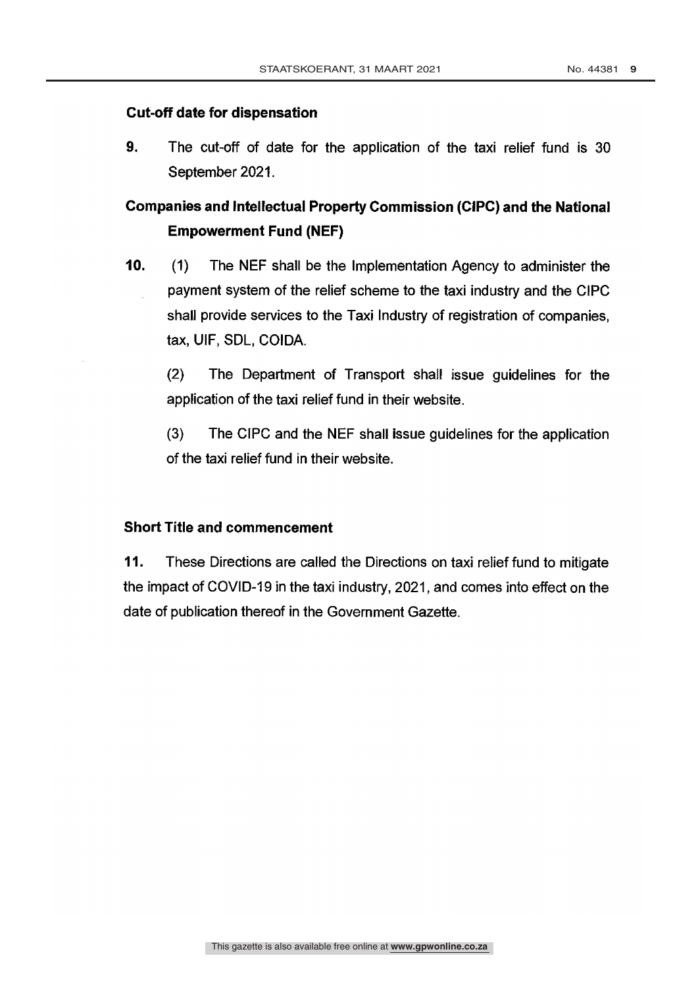#### Cut -off date for dispensation

9. The cut-off of date for the application of the taxi relief fund is 30 September 2021.

### Companies and Intellectual Property Commission (CIPC) and the National Empowerment Fund (NEF)

10. (1) The NEF shall be the Implementation Agency to administer the payment system of the relief scheme to the taxi industry and the CIPC shall provide services to the Taxi Industry of registration of companies, tax, UIF, SDL, COIDA.

(2) The Department of Transport shall issue guidelines for the application of the taxi relief fund in their website.

(3) The CIPC and the NEF shall issue guidelines for the application of the taxi relief fund in their website.

#### Short Title and commencement

11. These Directions are called the Directions on taxi relief fund to mitigate the impact of COVID-19 in the taxi industry, 2021, and comes into effect on the date of publication thereof in the Government Gazette.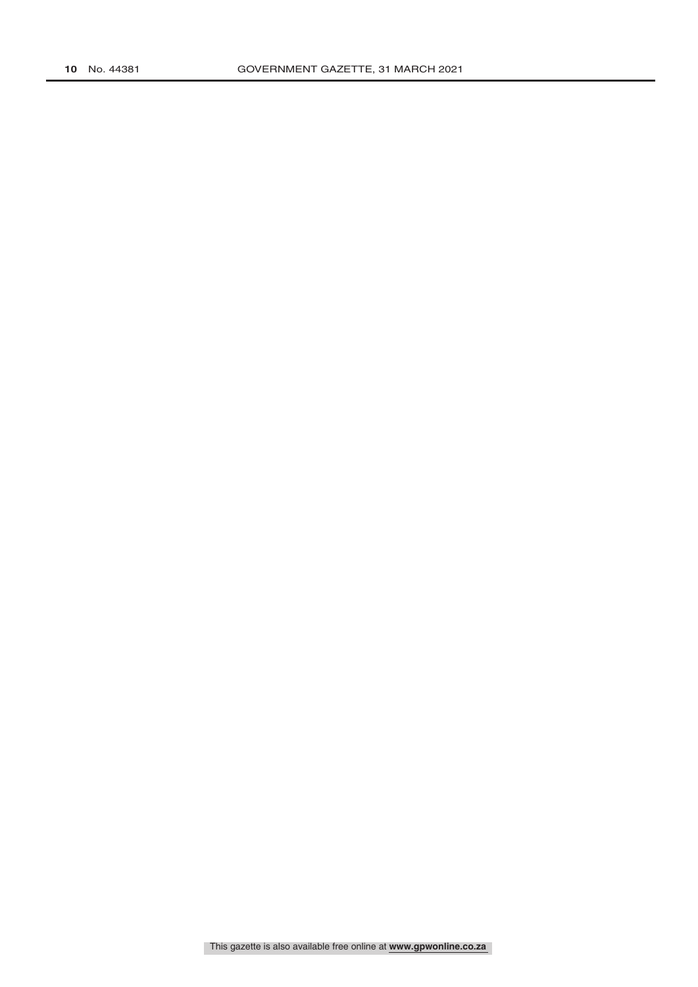This gazette is also available free online at **www.gpwonline.co.za**